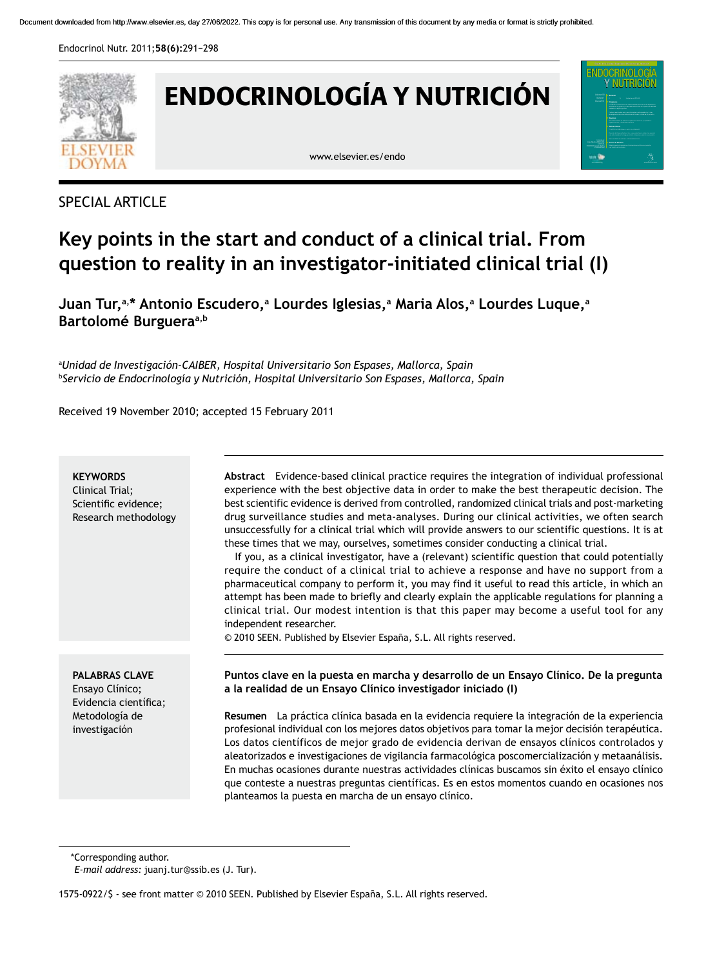Endocrinol Nutr. 2011;**58(6):**291−298



# SPECIAL ARTICLE

# **Key points in the start and conduct of a clinical trial. From question to reality in an investigator-initiated clinical trial (I)**

Juan Tur,<sup>a,</sup>\* Antonio Escudero,ª Lourdes Iglesias,ª Maria Alos,ª Lourdes Luque,ª Bartolomé Burguera<sup>a,b</sup>

a *Unidad de Investigación-CAIBER, Hospital Universitario Son Espases, Mallorca, Spain* b *Servicio de Endocrinología y Nutrición, Hospital Universitario Son Espases, Mallorca, Spain*

Received 19 November 2010; accepted 15 February 2011

# **KEYWORDS** Clinical Trial; Scientific evidence; Research methodology

**PALABRAS CLAVE** Ensayo Clínico; Evidencia científica; Metodología de investigación

**Abstract** Evidence-based clinical practice requires the integration of individual professional experience with the best objective data in order to make the best therapeutic decision. The best scientific evidence is derived from controlled, randomized clinical trials and post-marketing drug surveillance studies and meta-analyses. During our clinical activities, we often search unsuccessfully for a clinical trial which will provide answers to our scientific questions. It is at these times that we may, ourselves, sometimes consider conducting a clinical trial.

If you, as a clinical investigator, have a (relevant) scientific question that could potentially require the conduct of a clinical trial to achieve a response and have no support from a pharmaceutical company to perform it, you may find it useful to read this article, in which an attempt has been made to briefly and clearly explain the applicable regulations for planning a clinical trial. Our modest intention is that this paper may become a useful tool for any independent researcher.

© 2010 SEEN. Published by Elsevier España, S.L. All rights reserved.

**Puntos clave en la puesta en marcha y desarrollo de un Ensayo Clínico. De la pregunta a la realidad de un Ensayo Clínico investigador iniciado (I)**

**Resumen** La práctica clínica basada en la evidencia requiere la integración de la experiencia profesional individual con los mejores datos objetivos para tomar la mejor decisión terapéutica. Los datos científicos de mejor grado de evidencia derivan de ensayos clínicos controlados y aleatorizados e investigaciones de vigilancia farmacológica poscomercialización y metaanálisis. En muchas ocasiones durante nuestras actividades clínicas buscamos sin éxito el ensayo clínico que conteste a nuestras preguntas científicas. Es en estos momentos cuando en ocasiones nos planteamos la puesta en marcha de un ensayo clínico.

\*Corresponding author.

*E-mail address:* juanj.tur@ssib.es (J. Tur).

<sup>1575-0922/\$ -</sup> see front matter © 2010 SEEN. Published by Elsevier España, S.L. All rights reserved.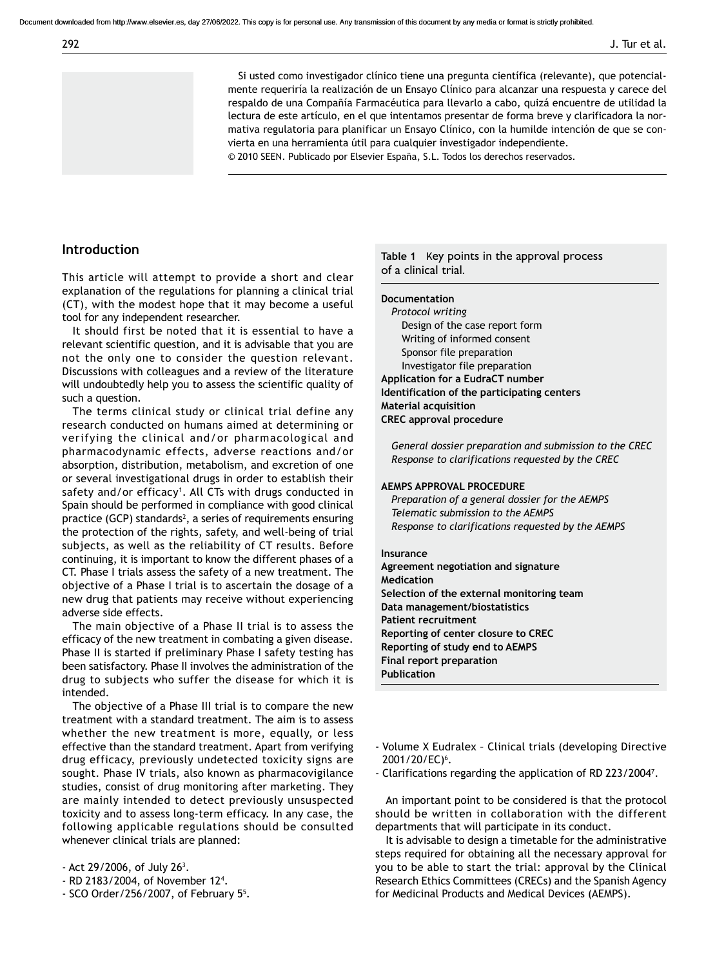Si usted como investigador clínico tiene una pregunta científica (relevante), que potencialmente requeriría la realización de un Ensayo Clínico para alcanzar una respuesta y carece del respaldo de una Compañía Farmacéutica para llevarlo a cabo, quizá encuentre de utilidad la lectura de este artículo, en el que intentamos presentar de forma breve y clarificadora la normativa regulatoria para planificar un Ensayo Clínico, con la humilde intención de que se convierta en una herramienta útil para cualquier investigador independiente. © 2010 SEEN. Publicado por Elsevier España, S.L. Todos los derechos reservados.

# **Introduction**

This article will attempt to provide a short and clear explanation of the regulations for planning a clinical trial (CT), with the modest hope that it may become a useful tool for any independent researcher.

It should first be noted that it is essential to have a relevant scientific question, and it is advisable that you are not the only one to consider the question relevant. Discussions with colleagues and a review of the literature will undoubtedly help you to assess the scientific quality of such a question.

The terms clinical study or clinical trial define any research conducted on humans aimed at determining or verifying the clinical and/or pharmacological and pharmacodynamic effects, adverse reactions and/or absorption, distribution, metabolism, and excretion of one or several investigational drugs in order to establish their safety and/or efficacy1 . All CTs with drugs conducted in Spain should be performed in compliance with good clinical practice (GCP) standards<sup>2</sup>, a series of requirements ensuring the protection of the rights, safety, and well-being of trial subjects, as well as the reliability of CT results. Before continuing, it is important to know the different phases of a CT. Phase I trials assess the safety of a new treatment. The objective of a Phase I trial is to ascertain the dosage of a new drug that patients may receive without experiencing adverse side effects.

The main objective of a Phase II trial is to assess the efficacy of the new treatment in combating a given disease. Phase II is started if preliminary Phase I safety testing has been satisfactory. Phase II involves the administration of the drug to subjects who suffer the disease for which it is intended.

The objective of a Phase III trial is to compare the new treatment with a standard treatment. The aim is to assess whether the new treatment is more, equally, or less effective than the standard treatment. Apart from verifying drug efficacy, previously undetected toxicity signs are sought. Phase IV trials, also known as pharmacovigilance studies, consist of drug monitoring after marketing. They are mainly intended to detect previously unsuspected toxicity and to assess long-term efficacy. In any case, the following applicable regulations should be consulted whenever clinical trials are planned:

 $-$  Act 29/2006, of July 26 $3$ .

- RD 2183/2004, of November 124 .
- SCO Order/256/2007, of February 55 .

**Table 1** Key points in the approval process of a clinical trial.

#### **Documentation**

*Protocol writing* Design of the case report form Writing of informed consent Sponsor file preparation Investigator file preparation **Application for a EudraCT number Identification of the participating centers Material acquisition CREC approval procedure**

*General dossier preparation and submission to the CREC Response to clarifications requested by the CREC*

**AEMPS APPROVAL PROCEDURE**

*Preparation of a general dossier for the AEMPS Telematic submission to the AEMPS Response to clarifications requested by the AEMPS*

#### **Insurance**

**Agreement negotiation and signature Medication Selection of the external monitoring team Data management/biostatistics Patient recruitment Reporting of center closure to CREC Reporting of study end to AEMPS Final report preparation Publication**

- Volume X Eudralex Clinical trials (developing Directive 2001/20/EC)<sup>6</sup>.
- Clarifications regarding the application of RD 223/2004<sup>7</sup> .

An important point to be considered is that the protocol should be written in collaboration with the different departments that will participate in its conduct.

It is advisable to design a timetable for the administrative steps required for obtaining all the necessary approval for you to be able to start the trial: approval by the Clinical Research Ethics Committees (CRECs) and the Spanish Agency for Medicinal Products and Medical Devices (AEMPS).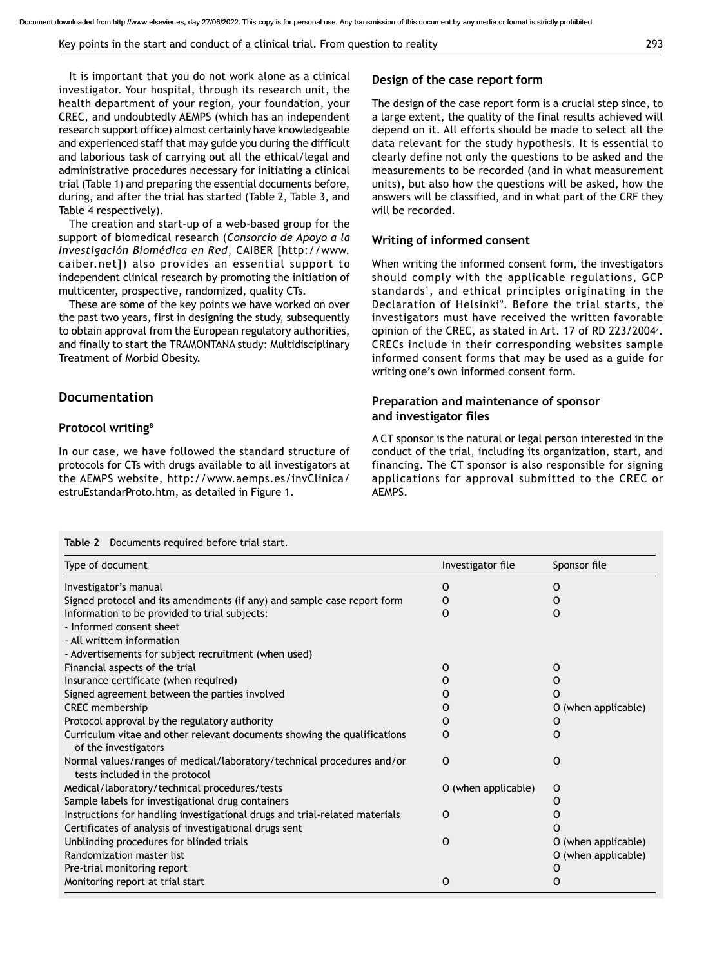Key points in the start and conduct of a clinical trial. From question to reality example 293

It is important that you do not work alone as a clinical investigator. Your hospital, through its research unit, the health department of your region, your foundation, your CREC, and undoubtedly AEMPS (which has an independent research support office) almost certainly have knowledgeable and experienced staff that may guide you during the difficult and laborious task of carrying out all the ethical/legal and administrative procedures necessary for initiating a clinical trial (Table 1) and preparing the essential documents before, during, and after the trial has started (Table 2, Table 3, and Table 4 respectively).

The creation and start-up of a web-based group for the support of biomedical research (*Consorcio de Apoyo a la Investigación Biomédica en Red*, CAIBER [http://www. caiber.net]) also provides an essential support to independent clinical research by promoting the initiation of multicenter, prospective, randomized, quality CTs.

These are some of the key points we have worked on over the past two years, first in designing the study, subsequently to obtain approval from the European regulatory authorities, and finally to start the TRAMONTANA study: Multidisciplinary Treatment of Morbid Obesity.

# **Documentation**

### **Protocol writing8**

In our case, we have followed the standard structure of protocols for CTs with drugs available to all investigators at the AEMPS website, http://www.aemps.es/invClinica/ estruEstandarProto.htm, as detailed in Figure 1.

**Table 2** Documents required before trial start.

### **Design of the case report form**

The design of the case report form is a crucial step since, to a large extent, the quality of the final results achieved will depend on it. All efforts should be made to select all the data relevant for the study hypothesis. It is essential to clearly define not only the questions to be asked and the measurements to be recorded (and in what measurement units), but also how the questions will be asked, how the answers will be classified, and in what part of the CRF they will be recorded.

### **Writing of informed consent**

When writing the informed consent form, the investigators should comply with the applicable regulations, GCP standards<sup>1</sup>, and ethical principles originating in the Declaration of Helsinki<sup>9</sup>. Before the trial starts, the investigators must have received the written favorable opinion of the CREC, as stated in Art. 17 of RD 223/2004<sup>2</sup> . CRECs include in their corresponding websites sample informed consent forms that may be used as a guide for writing one's own informed consent form.

# **Preparation and maintenance of sponsor and investigator files**

A CT sponsor is the natural or legal person interested in the conduct of the trial, including its organization, start, and financing. The CT sponsor is also responsible for signing applications for approval submitted to the CREC or AEMPS.

| <b>Table 2</b> Documents required before trial start.                                                    |                     |                     |  |  |
|----------------------------------------------------------------------------------------------------------|---------------------|---------------------|--|--|
| Type of document                                                                                         | Investigator file   | Sponsor file        |  |  |
| Investigator's manual                                                                                    | O                   | O                   |  |  |
| Signed protocol and its amendments (if any) and sample case report form                                  | O                   | O                   |  |  |
| Information to be provided to trial subjects:                                                            | 0                   | O                   |  |  |
| - Informed consent sheet                                                                                 |                     |                     |  |  |
| - All writtem information                                                                                |                     |                     |  |  |
| - Advertisements for subject recruitment (when used)                                                     |                     |                     |  |  |
| Financial aspects of the trial                                                                           | O                   | O                   |  |  |
| Insurance certificate (when required)                                                                    |                     | O                   |  |  |
| Signed agreement between the parties involved                                                            | O                   | Ω                   |  |  |
| <b>CREC</b> membership                                                                                   | O                   | O (when applicable) |  |  |
| Protocol approval by the regulatory authority                                                            | o                   | O                   |  |  |
| Curriculum vitae and other relevant documents showing the qualifications<br>of the investigators         | O                   | O                   |  |  |
| Normal values/ranges of medical/laboratory/technical procedures and/or<br>tests included in the protocol | 0                   | 0                   |  |  |
| Medical/laboratory/technical procedures/tests                                                            | O (when applicable) | 0                   |  |  |
| Sample labels for investigational drug containers                                                        |                     | O                   |  |  |
| Instructions for handling investigational drugs and trial-related materials                              | 0                   | O                   |  |  |
| Certificates of analysis of investigational drugs sent                                                   |                     | Ω                   |  |  |
| Unblinding procedures for blinded trials                                                                 | O                   | O (when applicable) |  |  |
| Randomization master list                                                                                |                     | O (when applicable) |  |  |
| Pre-trial monitoring report                                                                              |                     |                     |  |  |
| Monitoring report at trial start                                                                         | o                   | O                   |  |  |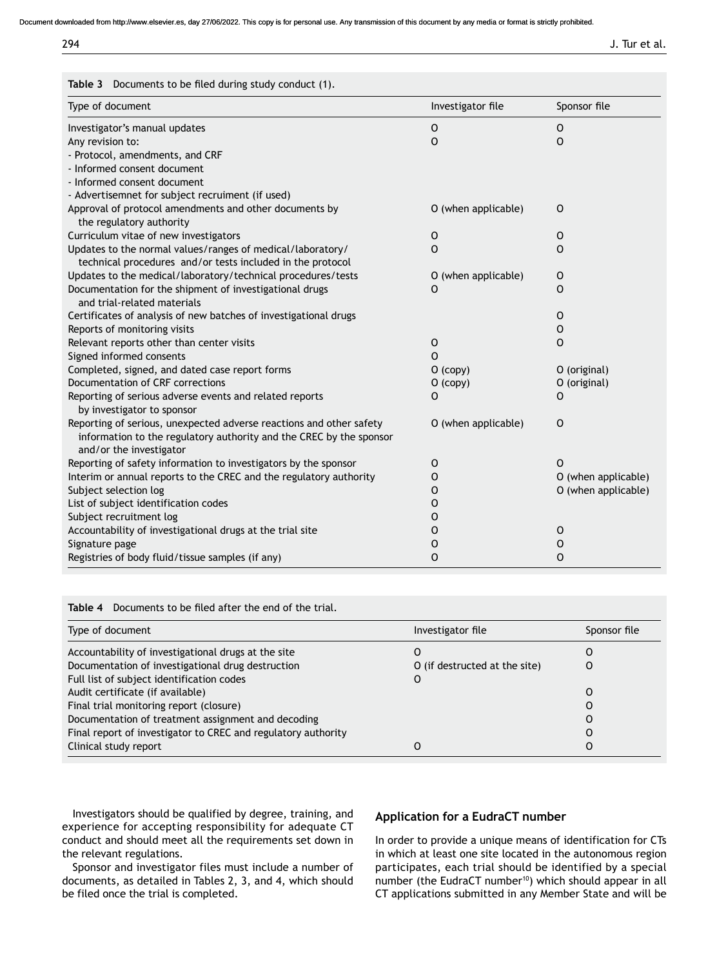| ٠ |  |
|---|--|
|   |  |

| Table 3 Documents to be filed during study conduct (1).                                                                                    |                     |                     |  |
|--------------------------------------------------------------------------------------------------------------------------------------------|---------------------|---------------------|--|
| Type of document                                                                                                                           | Investigator file   | Sponsor file        |  |
| Investigator's manual updates                                                                                                              | O                   | O                   |  |
| Any revision to:                                                                                                                           | O                   | O                   |  |
| - Protocol, amendments, and CRF                                                                                                            |                     |                     |  |
| - Informed consent document                                                                                                                |                     |                     |  |
| - Informed consent document                                                                                                                |                     |                     |  |
| - Advertisemnet for subject recruiment (if used)                                                                                           |                     |                     |  |
| Approval of protocol amendments and other documents by                                                                                     | O (when applicable) | $\circ$             |  |
| the regulatory authority                                                                                                                   |                     |                     |  |
| Curriculum vitae of new investigators                                                                                                      | 0                   | O                   |  |
| Updates to the normal values/ranges of medical/laboratory/                                                                                 | 0                   | 0                   |  |
| technical procedures and/or tests included in the protocol                                                                                 |                     |                     |  |
| Updates to the medical/laboratory/technical procedures/tests                                                                               | O (when applicable) | O                   |  |
| Documentation for the shipment of investigational drugs                                                                                    | O                   | O                   |  |
| and trial-related materials                                                                                                                |                     |                     |  |
| Certificates of analysis of new batches of investigational drugs                                                                           |                     | O                   |  |
| Reports of monitoring visits                                                                                                               |                     | 0                   |  |
| Relevant reports other than center visits                                                                                                  | O                   | O                   |  |
| Signed informed consents                                                                                                                   | $\Omega$            |                     |  |
| Completed, signed, and dated case report forms                                                                                             | $O$ (copy)          | O (original)        |  |
| Documentation of CRF corrections                                                                                                           | $O$ (copy)          | O (original)        |  |
| Reporting of serious adverse events and related reports<br>by investigator to sponsor                                                      | O                   | 0                   |  |
| Reporting of serious, unexpected adverse reactions and other safety<br>information to the regulatory authority and the CREC by the sponsor | O (when applicable) | O                   |  |
| and/or the investigator                                                                                                                    |                     |                     |  |
| Reporting of safety information to investigators by the sponsor                                                                            | 0                   | $\Omega$            |  |
| Interim or annual reports to the CREC and the regulatory authority                                                                         | 0                   | O (when applicable) |  |
| Subject selection log                                                                                                                      | O                   | O (when applicable) |  |
| List of subject identification codes                                                                                                       | 0                   |                     |  |
| Subject recruitment log                                                                                                                    | 0                   |                     |  |
| Accountability of investigational drugs at the trial site                                                                                  | 0                   | O                   |  |
| Signature page                                                                                                                             | 0                   | 0                   |  |
| Registries of body fluid/tissue samples (if any)                                                                                           | 0                   | O                   |  |

# **Table 4** Documents to be filed after the end of the trial.

| Type of document                                              | Investigator file             | Sponsor file |
|---------------------------------------------------------------|-------------------------------|--------------|
| Accountability of investigational drugs at the site           |                               |              |
| Documentation of investigational drug destruction             | O (if destructed at the site) |              |
| Full list of subject identification codes                     |                               |              |
| Audit certificate (if available)                              |                               |              |
| Final trial monitoring report (closure)                       |                               |              |
| Documentation of treatment assignment and decoding            |                               |              |
| Final report of investigator to CREC and regulatory authority |                               |              |
| Clinical study report                                         | Ω                             |              |

Investigators should be qualified by degree, training, and experience for accepting responsibility for adequate CT conduct and should meet all the requirements set down in the relevant regulations.

Sponsor and investigator files must include a number of documents, as detailed in Tables 2, 3, and 4, which should be filed once the trial is completed.

# **Application for a EudraCT number**

In order to provide a unique means of identification for CTs in which at least one site located in the autonomous region participates, each trial should be identified by a special number (the EudraCT number<sup>10</sup>) which should appear in all CT applications submitted in any Member State and will be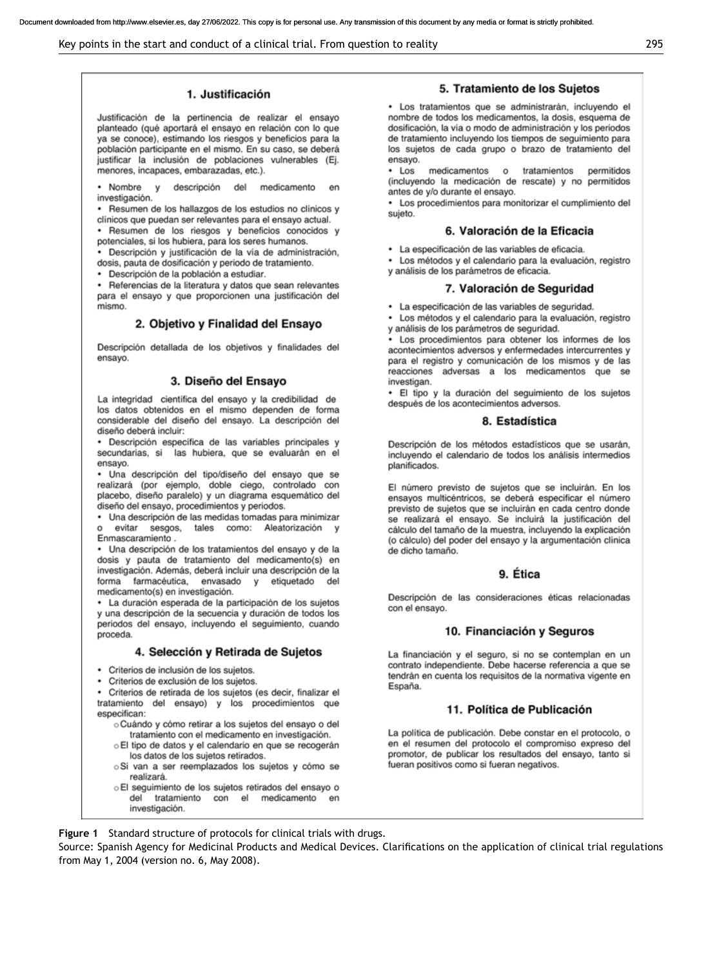Key points in the start and conduct of a clinical trial. From question to reality 295

# 1. Justificación

Justificación de la pertinencia de realizar el ensayo planteado (qué aportará el ensayo en relación con lo que ya se conoce), estimando los riesgos y beneficios para la población participante en el mismo. En su caso, se deberá justificar la inclusión de poblaciones vulnerables (Ej. menores, incapaces, embarazadas, etc.).

• Nombre descripción del medicamento en y investigación

· Resumen de los hallazgos de los estudios no clínicos y clínicos que puedan ser relevantes para el ensayo actual.

· Resumen de los riesgos y beneficios conocidos y potenciales, si los hubiera, para los seres humanos.

Descripción y justificación de la vía de administración, dosis, pauta de dosificación y periodo de tratamiento.

· Descripción de la población a estudiar.

· Referencias de la literatura y datos que sean relevantes para el ensayo y que proporcionen una justificación del mismo.

#### 2. Objetivo y Finalidad del Ensayo

Descripción detallada de los objetivos y finalidades del ensavo.

#### 3. Diseño del Ensavo

La integridad científica del ensayo y la credibilidad de los datos obtenidos en el mismo dependen de forma considerable del diseño del ensayo. La descripción del diseño deberá incluir:

· Descripción específica de las variables principales y secundarias, si las hubiera, que se evaluarán en el ensavo.

· Una descripción del tipo/diseño del ensayo que se realizará (por ejemplo, doble ciego, controlado con placebo, diseño paralelo) y un diagrama esquemático del diseño del ensayo, procedimientos y periodos.

· Una descripción de las medidas tomadas para minimizar o evitar sesgos, tales como: Aleatorización Enmascaramiento.

· Una descripción de los tratamientos del ensayo y de la dosis y pauta de tratamiento del medicamento(s) en investigación. Además, deberá incluir una descripción de la forma farmacéutica, envasado y etiquetado del medicamento(s) en investigación.

· La duración esperada de la participación de los sujetos y una descripción de la secuencia y duración de todos los periodos del ensayo, incluyendo el seguimiento, cuando proceda.

### 4. Selección y Retirada de Sujetos

- · Criterios de inclusión de los sujetos.
- · Criterios de exclusión de los sujetos.

· Criterios de retirada de los sujetos (es decir, finalizar el tratamiento del ensayo) y los procedimientos que especifican:

- o Cuándo y cómo retirar a los sujetos del ensayo o del tratamiento con el medicamento en investigación.
- El tipo de datos y el calendario en que se recogerán los datos de los sujetos retirados.
- o Si van a ser reemplazados los sujetos y cómo se realizará.
- o El seguimiento de los sujetos retirados del ensayo o tratamiento con el medicamento del en investigación.

#### 5. Tratamiento de los Sujetos

· Los tratamientos que se administrarán, incluvendo el nombre de todos los medicamentos, la dosis, esquema de dosificación, la vía o modo de administración y los periodos de tratamiento incluyendo los tiempos de seguimiento para los sujetos de cada grupo o brazo de tratamiento del ensavo.

 $\cdot$  Los medicamentos o tratamientos permitidos (incluyendo la medicación de rescate) y no permitidos antes de v/o durante el ensavo.

· Los procedimientos para monitorizar el cumplimiento del sujeto.

#### 6. Valoración de la Eficacia

· La especificación de las variables de eficacia.

· Los métodos y el calendario para la evaluación, registro y análisis de los parámetros de eficacia.

#### 7. Valoración de Seguridad

· La especificación de las variables de seguridad.

· Los métodos y el calendario para la evaluación, registro y análisis de los parámetros de seguridad.

· Los procedimientos para obtener los informes de los acontecimientos adversos y enfermedades intercurrentes y para el registro y comunicación de los mismos y de las reacciones adversas a los medicamentos que se investigan.

El tipo y la duración del seguimiento de los sujetos después de los acontecimientos adversos.

#### 8. Estadística

Descripción de los métodos estadísticos que se usarán, incluyendo el calendario de todos los análisis intermedios planificados.

El número previsto de sujetos que se incluirán. En los ensayos multicéntricos, se deberá especificar el número previsto de sujetos que se incluirán en cada centro donde se realizará el ensayo. Se incluirá la justificación del cálculo del tamaño de la muestra, incluyendo la explicación (o cálculo) del poder del ensayo y la argumentación clínica de dicho tamaño.

### 9. Ética

Descripción de las consideraciones éticas relacionadas con el ensavo.

#### 10. Financiación y Seguros

La financiación y el seguro, si no se contemplan en un contrato independiente. Debe hacerse referencia a que se tendrán en cuenta los requisitos de la normativa vigente en España.

#### 11. Política de Publicación

La política de publicación. Debe constar en el protocolo, o en el resumen del protocolo el compromiso expreso del promotor, de publicar los resultados del ensayo, tanto si fueran positivos como si fueran negativos.

**Figure 1** Standard structure of protocols for clinical trials with drugs.

Source: Spanish Agency for Medicinal Products and Medical Devices. Clarifications on the application of clinical trial regulations from May 1, 2004 (version no. 6, May 2008).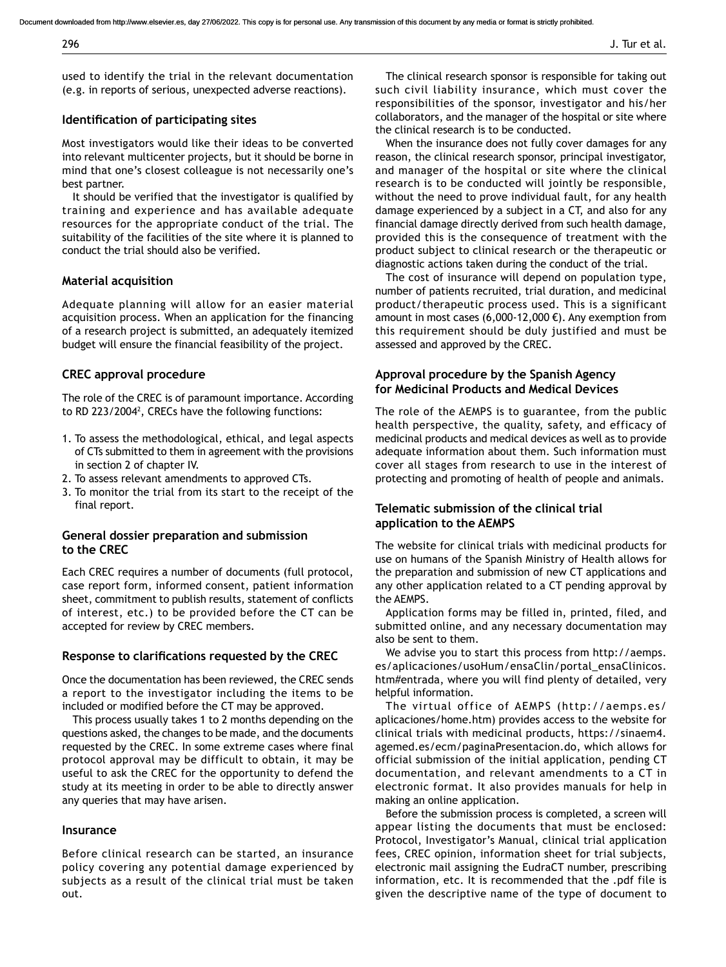used to identify the trial in the relevant documentation (e.g. in reports of serious, unexpected adverse reactions).

# **Identification of participating sites**

Most investigators would like their ideas to be converted into relevant multicenter projects, but it should be borne in mind that one's closest colleague is not necessarily one's best partner.

It should be verified that the investigator is qualified by training and experience and has available adequate resources for the appropriate conduct of the trial. The suitability of the facilities of the site where it is planned to conduct the trial should also be verified.

# **Material acquisition**

Adequate planning will allow for an easier material acquisition process. When an application for the financing of a research project is submitted, an adequately itemized budget will ensure the financial feasibility of the project.

## **CREC approval procedure**

The role of the CREC is of paramount importance. According to RD 223/2004<sup>2</sup>, CRECs have the following functions:

- 1. To assess the methodological, ethical, and legal aspects of CTs submitted to them in agreement with the provisions in section 2 of chapter IV.
- 2. To assess relevant amendments to approved CTs.
- 3. To monitor the trial from its start to the receipt of the final report.

# **General dossier preparation and submission to the CREC**

Each CREC requires a number of documents (full protocol, case report form, informed consent, patient information sheet, commitment to publish results, statement of conflicts of interest, etc.) to be provided before the CT can be accepted for review by CREC members.

### **Response to clarifications requested by the CREC**

Once the documentation has been reviewed, the CREC sends a report to the investigator including the items to be included or modified before the CT may be approved.

This process usually takes 1 to 2 months depending on the questions asked, the changes to be made, and the documents requested by the CREC. In some extreme cases where final protocol approval may be difficult to obtain, it may be useful to ask the CREC for the opportunity to defend the study at its meeting in order to be able to directly answer any queries that may have arisen.

#### **Insurance**

Before clinical research can be started, an insurance policy covering any potential damage experienced by subjects as a result of the clinical trial must be taken out.

The clinical research sponsor is responsible for taking out such civil liability insurance, which must cover the responsibilities of the sponsor, investigator and his/her collaborators, and the manager of the hospital or site where the clinical research is to be conducted.

When the insurance does not fully cover damages for any reason, the clinical research sponsor, principal investigator, and manager of the hospital or site where the clinical research is to be conducted will jointly be responsible, without the need to prove individual fault, for any health damage experienced by a subject in a CT, and also for any financial damage directly derived from such health damage, provided this is the consequence of treatment with the product subject to clinical research or the therapeutic or diagnostic actions taken during the conduct of the trial.

The cost of insurance will depend on population type, number of patients recruited, trial duration, and medicinal product/therapeutic process used. This is a significant amount in most cases  $(6,000-12,000 \text{ E})$ . Any exemption from this requirement should be duly justified and must be assessed and approved by the CREC.

# **Approval procedure by the Spanish Agency for Medicinal Products and Medical Devices**

The role of the AEMPS is to guarantee, from the public health perspective, the quality, safety, and efficacy of medicinal products and medical devices as well as to provide adequate information about them. Such information must cover all stages from research to use in the interest of protecting and promoting of health of people and animals.

# **Telematic submission of the clinical trial application to the AEMPS**

The website for clinical trials with medicinal products for use on humans of the Spanish Ministry of Health allows for the preparation and submission of new CT applications and any other application related to a CT pending approval by the AEMPS.

Application forms may be filled in, printed, filed, and submitted online, and any necessary documentation may also be sent to them.

We advise you to start this process from http://aemps. es/aplicaciones/usoHum/ensaClin/portal\_ensaClinicos. htm#entrada, where you will find plenty of detailed, very helpful information.

The virtual office of AEMPS (http://aemps.es/ aplicaciones/home.htm) provides access to the website for clinical trials with medicinal products, https://sinaem4. agemed.es/ecm/paginaPresentacion.do, which allows for official submission of the initial application, pending CT documentation, and relevant amendments to a CT in electronic format. It also provides manuals for help in making an online application.

Before the submission process is completed, a screen will appear listing the documents that must be enclosed: Protocol, Investigator's Manual, clinical trial application fees, CREC opinion, information sheet for trial subjects, electronic mail assigning the EudraCT number, prescribing information, etc. It is recommended that the .pdf file is given the descriptive name of the type of document to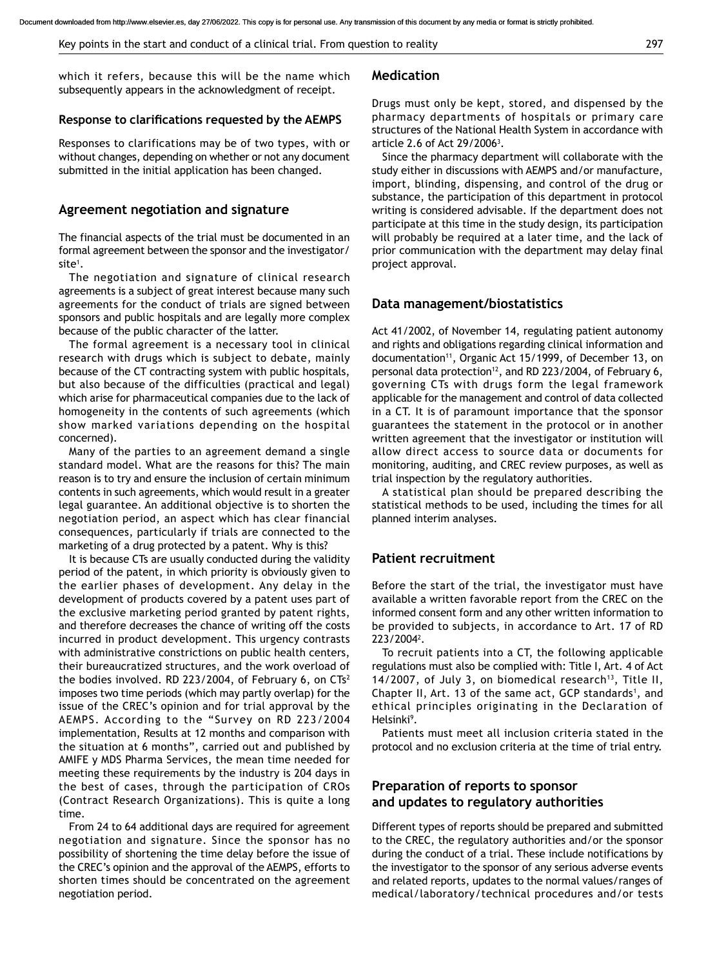Key points in the start and conduct of a clinical trial. From question to reality 297

which it refers, because this will be the name which subsequently appears in the acknowledgment of receipt.

#### **Response to clarifications requested by the AEMPS**

Responses to clarifications may be of two types, with or without changes, depending on whether or not any document submitted in the initial application has been changed.

# **Agreement negotiation and signature**

The financial aspects of the trial must be documented in an formal agreement between the sponsor and the investigator/  $\mathsf{site}^{\scriptscriptstyle 1}\mathsf{.}$ 

The negotiation and signature of clinical research agreements is a subject of great interest because many such agreements for the conduct of trials are signed between sponsors and public hospitals and are legally more complex because of the public character of the latter.

The formal agreement is a necessary tool in clinical research with drugs which is subject to debate, mainly because of the CT contracting system with public hospitals, but also because of the difficulties (practical and legal) which arise for pharmaceutical companies due to the lack of homogeneity in the contents of such agreements (which show marked variations depending on the hospital concerned).

Many of the parties to an agreement demand a single standard model. What are the reasons for this? The main reason is to try and ensure the inclusion of certain minimum contents in such agreements, which would result in a greater legal guarantee. An additional objective is to shorten the negotiation period, an aspect which has clear financial consequences, particularly if trials are connected to the marketing of a drug protected by a patent. Why is this?

It is because CTs are usually conducted during the validity period of the patent, in which priority is obviously given to the earlier phases of development. Any delay in the development of products covered by a patent uses part of the exclusive marketing period granted by patent rights, and therefore decreases the chance of writing off the costs incurred in product development. This urgency contrasts with administrative constrictions on public health centers, their bureaucratized structures, and the work overload of the bodies involved. RD 223/2004, of February 6, on CTs<sup>2</sup> imposes two time periods (which may partly overlap) for the issue of the CREC's opinion and for trial approval by the AEMPS. According to the "Survey on RD 223/2004 implementation, Results at 12 months and comparison with the situation at 6 months", carried out and published by AMIFE y MDS Pharma Services, the mean time needed for meeting these requirements by the industry is 204 days in the best of cases, through the participation of CROs (Contract Research Organizations). This is quite a long time.

From 24 to 64 additional days are required for agreement negotiation and signature. Since the sponsor has no possibility of shortening the time delay before the issue of the CREC's opinion and the approval of the AEMPS, efforts to shorten times should be concentrated on the agreement negotiation period.

# **Medication**

Drugs must only be kept, stored, and dispensed by the pharmacy departments of hospitals or primary care structures of the National Health System in accordance with article 2.6 of Act 29/2006<sup>3</sup>.

Since the pharmacy department will collaborate with the study either in discussions with AEMPS and/or manufacture, import, blinding, dispensing, and control of the drug or substance, the participation of this department in protocol writing is considered advisable. If the department does not participate at this time in the study design, its participation will probably be required at a later time, and the lack of prior communication with the department may delay final project approval.

### **Data management/biostatistics**

Act 41/2002, of November 14, regulating patient autonomy and rights and obligations regarding clinical information and documentation<sup>11</sup>, Organic Act 15/1999, of December 13, on personal data protection<sup>12</sup>, and RD 223/2004, of February 6, governing CTs with drugs form the legal framework applicable for the management and control of data collected in a CT. It is of paramount importance that the sponsor guarantees the statement in the protocol or in another written agreement that the investigator or institution will allow direct access to source data or documents for monitoring, auditing, and CREC review purposes, as well as trial inspection by the regulatory authorities.

A statistical plan should be prepared describing the statistical methods to be used, including the times for all planned interim analyses.

# **Patient recruitment**

Before the start of the trial, the investigator must have available a written favorable report from the CREC on the informed consent form and any other written information to be provided to subjects, in accordance to Art. 17 of RD 223/2004<sup>2</sup> .

To recruit patients into a CT, the following applicable regulations must also be complied with: Title I, Art. 4 of Act 14/2007, of July 3, on biomedical research<sup>13</sup>, Title II, Chapter II, Art. 13 of the same act, GCP standards<sup>1</sup>, and ethical principles originating in the Declaration of Helsinki<sup>9</sup>.

Patients must meet all inclusion criteria stated in the protocol and no exclusion criteria at the time of trial entry.

# **Preparation of reports to sponsor and updates to regulatory authorities**

Different types of reports should be prepared and submitted to the CREC, the regulatory authorities and/or the sponsor during the conduct of a trial. These include notifications by the investigator to the sponsor of any serious adverse events and related reports, updates to the normal values/ranges of medical/laboratory/technical procedures and/or tests